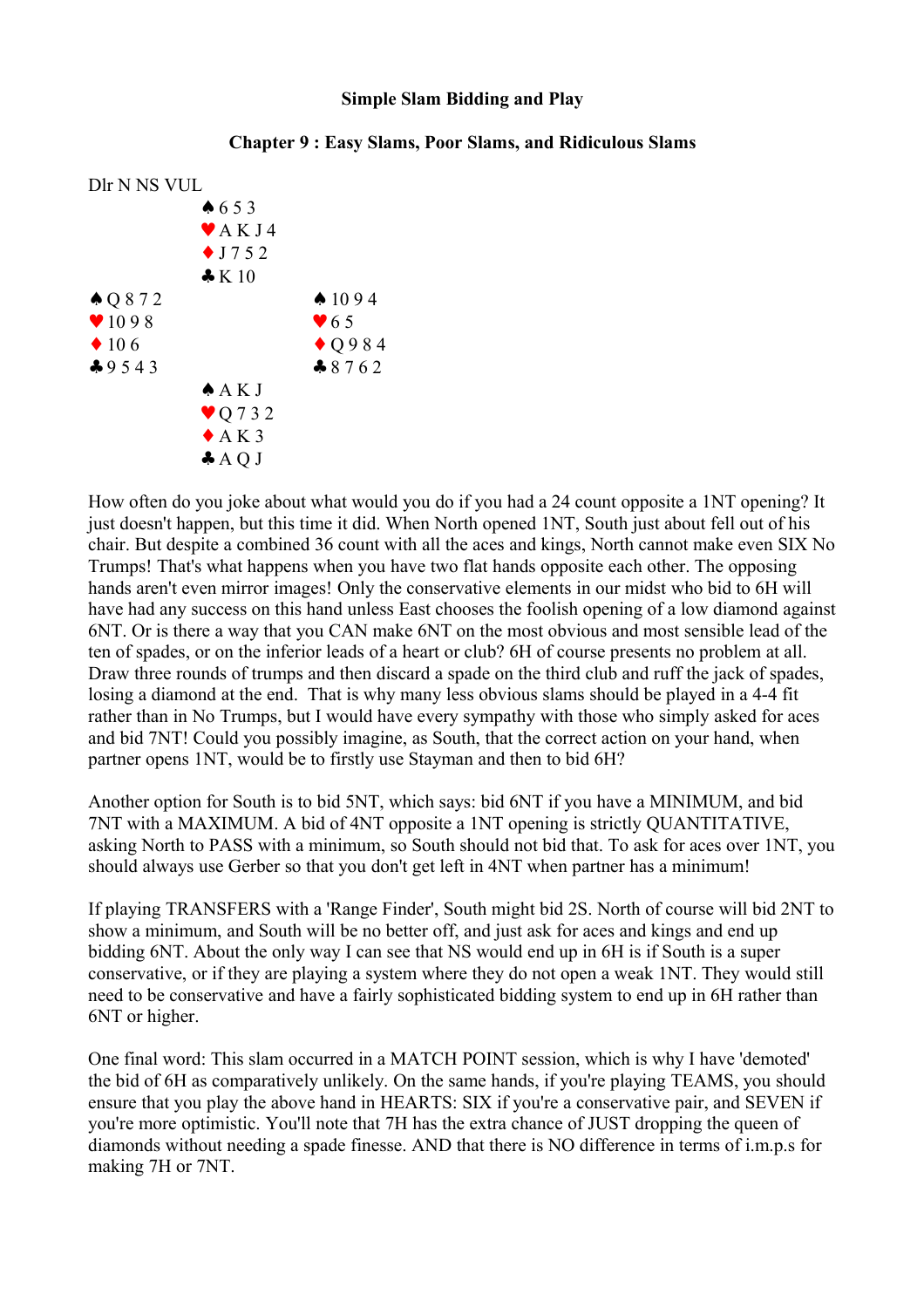## **Simple Slam Bidding and Play**

## Dlr N NS VUL ♠ 6 5 3  $\blacktriangleright$  AK J 4  $\bullet$  J 7 5 2 ♣ K 10  $\bullet$  Q 8 7 2  $\bullet$  10 9 4  $\sqrt{1098}$   $\sqrt{65}$  $\bullet$  10 6  $\bullet$  Q 9 8 4  $\clubsuit$  9543  $\clubsuit$  8762 ♠ A K J ♥ Q 7 3 2  $\triangle$  A K 3  $\triangle A$  O J

## **Chapter 9 : Easy Slams, Poor Slams, and Ridiculous Slams**

How often do you joke about what would you do if you had a 24 count opposite a 1NT opening? It just doesn't happen, but this time it did. When North opened 1NT, South just about fell out of his chair. But despite a combined 36 count with all the aces and kings, North cannot make even SIX No Trumps! That's what happens when you have two flat hands opposite each other. The opposing hands aren't even mirror images! Only the conservative elements in our midst who bid to 6H will have had any success on this hand unless East chooses the foolish opening of a low diamond against 6NT. Or is there a way that you CAN make 6NT on the most obvious and most sensible lead of the ten of spades, or on the inferior leads of a heart or club? 6H of course presents no problem at all. Draw three rounds of trumps and then discard a spade on the third club and ruff the jack of spades, losing a diamond at the end. That is why many less obvious slams should be played in a 4-4 fit rather than in No Trumps, but I would have every sympathy with those who simply asked for aces and bid 7NT! Could you possibly imagine, as South, that the correct action on your hand, when partner opens 1NT, would be to firstly use Stayman and then to bid 6H?

Another option for South is to bid 5NT, which says: bid 6NT if you have a MINIMUM, and bid 7NT with a MAXIMUM. A bid of 4NT opposite a 1NT opening is strictly QUANTITATIVE, asking North to PASS with a minimum, so South should not bid that. To ask for aces over 1NT, you should always use Gerber so that you don't get left in 4NT when partner has a minimum!

If playing TRANSFERS with a 'Range Finder', South might bid 2S. North of course will bid 2NT to show a minimum, and South will be no better off, and just ask for aces and kings and end up bidding 6NT. About the only way I can see that NS would end up in 6H is if South is a super conservative, or if they are playing a system where they do not open a weak 1NT. They would still need to be conservative and have a fairly sophisticated bidding system to end up in 6H rather than 6NT or higher.

One final word: This slam occurred in a MATCH POINT session, which is why I have 'demoted' the bid of 6H as comparatively unlikely. On the same hands, if you're playing TEAMS, you should ensure that you play the above hand in HEARTS: SIX if you're a conservative pair, and SEVEN if you're more optimistic. You'll note that 7H has the extra chance of JUST dropping the queen of diamonds without needing a spade finesse. AND that there is NO difference in terms of i.m.p.s for making 7H or 7NT.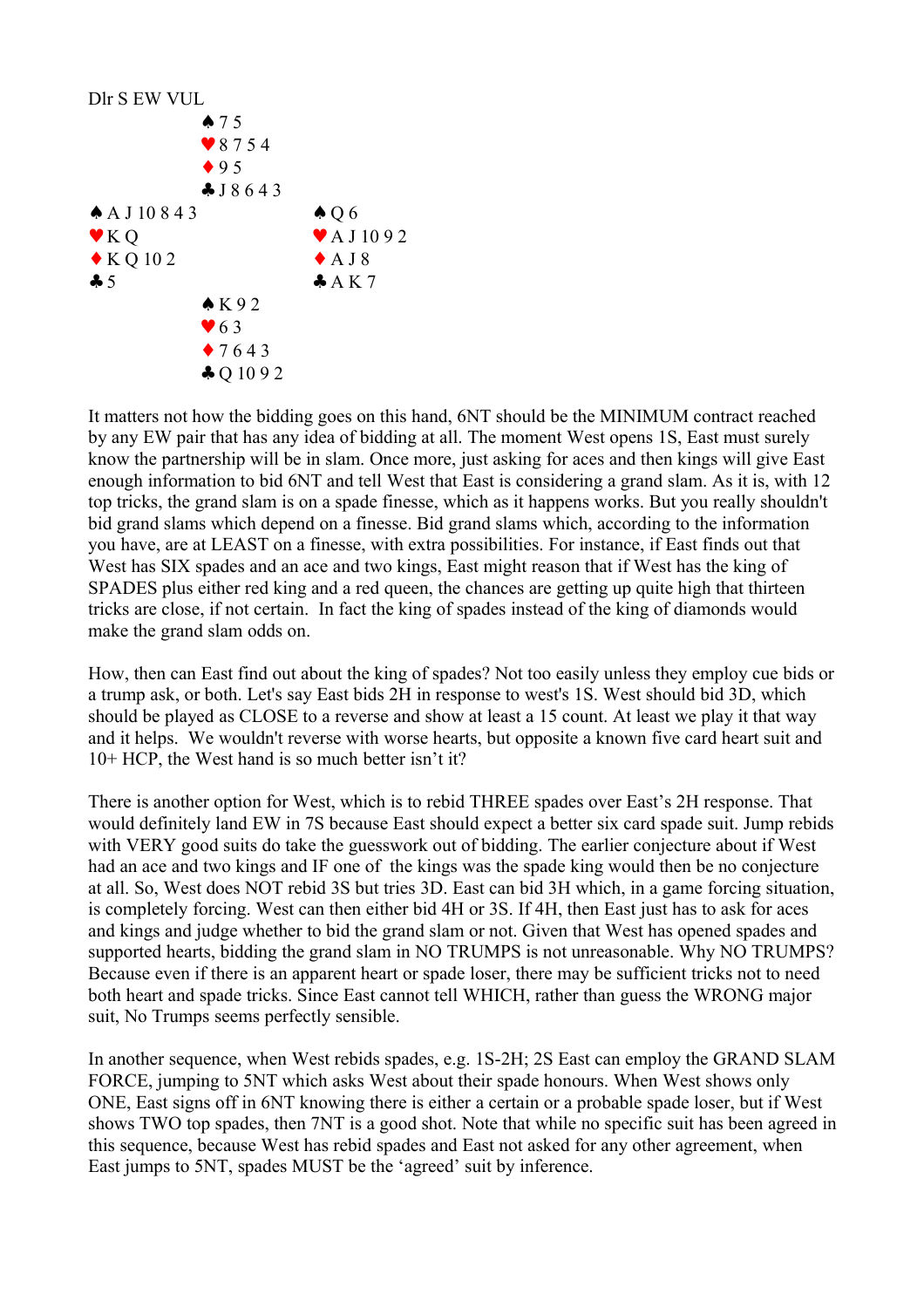

It matters not how the bidding goes on this hand, 6NT should be the MINIMUM contract reached by any EW pair that has any idea of bidding at all. The moment West opens 1S, East must surely know the partnership will be in slam. Once more, just asking for aces and then kings will give East enough information to bid 6NT and tell West that East is considering a grand slam. As it is, with 12 top tricks, the grand slam is on a spade finesse, which as it happens works. But you really shouldn't bid grand slams which depend on a finesse. Bid grand slams which, according to the information you have, are at LEAST on a finesse, with extra possibilities. For instance, if East finds out that West has SIX spades and an ace and two kings, East might reason that if West has the king of SPADES plus either red king and a red queen, the chances are getting up quite high that thirteen tricks are close, if not certain. In fact the king of spades instead of the king of diamonds would make the grand slam odds on.

How, then can East find out about the king of spades? Not too easily unless they employ cue bids or a trump ask, or both. Let's say East bids 2H in response to west's 1S. West should bid 3D, which should be played as CLOSE to a reverse and show at least a 15 count. At least we play it that way and it helps. We wouldn't reverse with worse hearts, but opposite a known five card heart suit and 10+ HCP, the West hand is so much better isn't it?

There is another option for West, which is to rebid THREE spades over East's 2H response. That would definitely land EW in 7S because East should expect a better six card spade suit. Jump rebids with VERY good suits do take the guesswork out of bidding. The earlier conjecture about if West had an ace and two kings and IF one of the kings was the spade king would then be no conjecture at all. So, West does NOT rebid 3S but tries 3D. East can bid 3H which, in a game forcing situation, is completely forcing. West can then either bid 4H or 3S. If 4H, then East just has to ask for aces and kings and judge whether to bid the grand slam or not. Given that West has opened spades and supported hearts, bidding the grand slam in NO TRUMPS is not unreasonable. Why NO TRUMPS? Because even if there is an apparent heart or spade loser, there may be sufficient tricks not to need both heart and spade tricks. Since East cannot tell WHICH, rather than guess the WRONG major suit, No Trumps seems perfectly sensible.

In another sequence, when West rebids spades, e.g. 1S-2H; 2S East can employ the GRAND SLAM FORCE, jumping to 5NT which asks West about their spade honours. When West shows only ONE, East signs off in 6NT knowing there is either a certain or a probable spade loser, but if West shows TWO top spades, then 7NT is a good shot. Note that while no specific suit has been agreed in this sequence, because West has rebid spades and East not asked for any other agreement, when East jumps to 5NT, spades MUST be the 'agreed' suit by inference.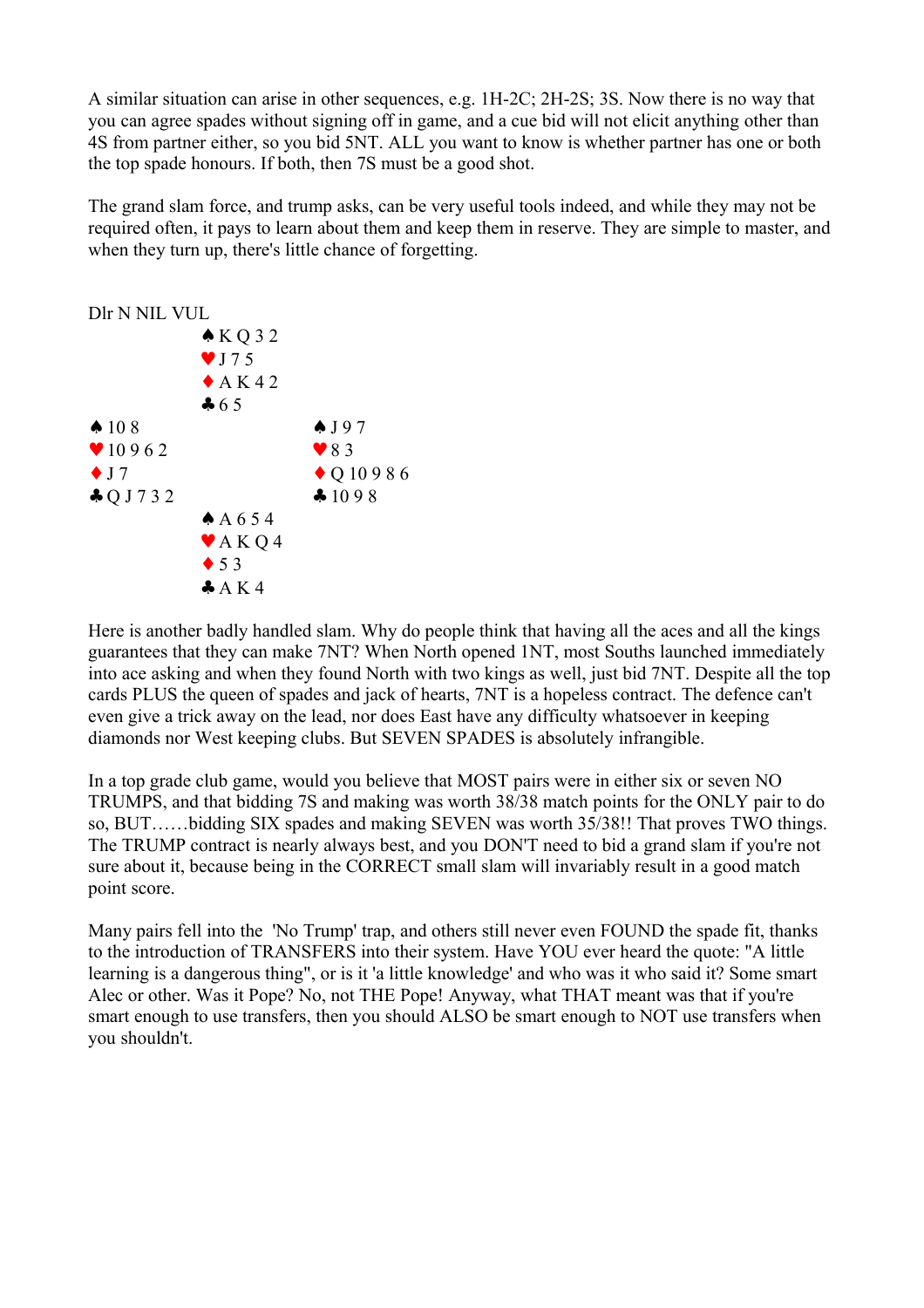A similar situation can arise in other sequences, e.g. 1H-2C; 2H-2S; 3S. Now there is no way that you can agree spades without signing off in game, and a cue bid will not elicit anything other than 4S from partner either, so you bid 5NT. ALL you want to know is whether partner has one or both the top spade honours. If both, then 7S must be a good shot.

The grand slam force, and trump asks, can be very useful tools indeed, and while they may not be required often, it pays to learn about them and keep them in reserve. They are simple to master, and when they turn up, there's little chance of forgetting.



Here is another badly handled slam. Why do people think that having all the aces and all the kings guarantees that they can make 7NT? When North opened 1NT, most Souths launched immediately into ace asking and when they found North with two kings as well, just bid 7NT. Despite all the top cards PLUS the queen of spades and jack of hearts, 7NT is a hopeless contract. The defence can't even give a trick away on the lead, nor does East have any difficulty whatsoever in keeping diamonds nor West keeping clubs. But SEVEN SPADES is absolutely infrangible.

In a top grade club game, would you believe that MOST pairs were in either six or seven NO TRUMPS, and that bidding 7S and making was worth 38/38 match points for the ONLY pair to do so, BUT……bidding SIX spades and making SEVEN was worth 35/38!! That proves TWO things. The TRUMP contract is nearly always best, and you DON'T need to bid a grand slam if you're not sure about it, because being in the CORRECT small slam will invariably result in a good match point score.

Many pairs fell into the 'No Trump' trap, and others still never even FOUND the spade fit, thanks to the introduction of TRANSFERS into their system. Have YOU ever heard the quote: "A little learning is a dangerous thing", or is it 'a little knowledge' and who was it who said it? Some smart Alec or other. Was it Pope? No, not THE Pope! Anyway, what THAT meant was that if you're smart enough to use transfers, then you should ALSO be smart enough to NOT use transfers when you shouldn't.